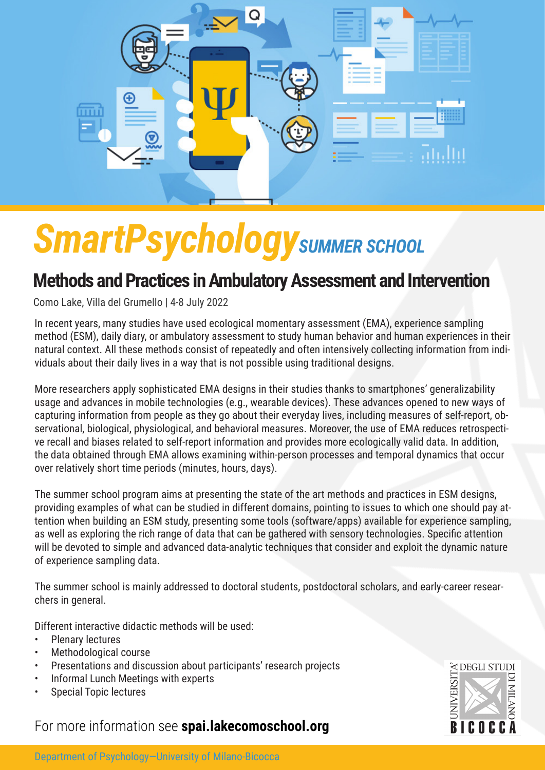

# **SmartPsychology** SUMMER SCHOOL

### **Methods and Practices in Ambulatory Assessment and Intervention**

Como Lake, Villa del Grumello | 4-8 July 2022

In recent years, many studies have used ecological momentary assessment (EMA), experience sampling method (ESM), daily diary, or ambulatory assessment to study human behavior and human experiences in their natural context. All these methods consist of repeatedly and often intensively collecting information from individuals about their daily lives in a way that is not possible using traditional designs.

More researchers apply sophisticated EMA designs in their studies thanks to smartphones' generalizability usage and advances in mobile technologies (e.g., wearable devices). These advances opened to new ways of capturing information from people as they go about their everyday lives, including measures of self-report, observational, biological, physiological, and behavioral measures. Moreover, the use of EMA reduces retrospective recall and biases related to self-report information and provides more ecologically valid data. In addition, the data obtained through EMA allows examining within-person processes and temporal dynamics that occur over relatively short time periods (minutes, hours, days).

The summer school program aims at presenting the state of the art methods and practices in ESM designs, providing examples of what can be studied in different domains, pointing to issues to which one should pay attention when building an ESM study, presenting some tools (software/apps) available for experience sampling, as well as exploring the rich range of data that can be gathered with sensory technologies. Specific attention will be devoted to simple and advanced data-analytic techniques that consider and exploit the dynamic nature of experience sampling data.

The summer school is mainly addressed to doctoral students, postdoctoral scholars, and early-career researchers in general.

Different interactive didactic methods will be used:

- Plenary lectures
- Methodological course
- Presentations and discussion about participants' research projects
- Informal Lunch Meetings with experts
- Special Topic lectures

#### For more information see **spai.lakecomoschool.org**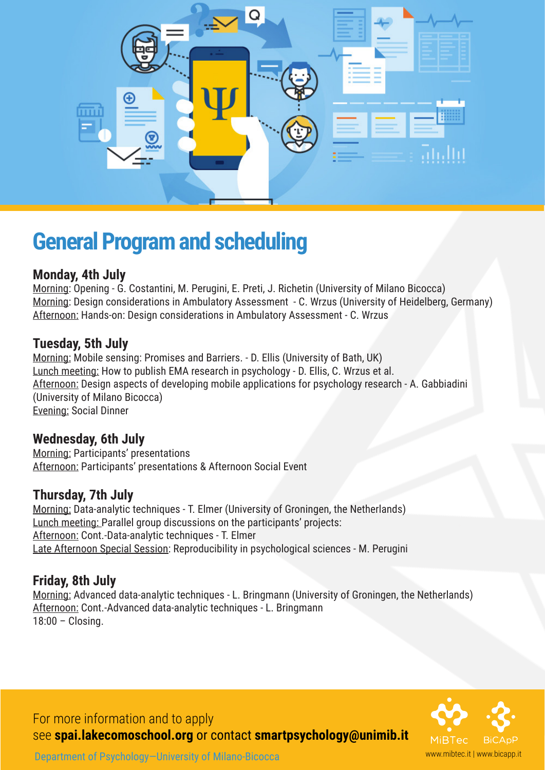

## **General Program and scheduling**

#### **Monday, 4th July**

Morning: Opening - G. Costantini, M. Perugini, E. Preti, J. Richetin (University of Milano Bicocca) Morning: Design considerations in Ambulatory Assessment - C. Wrzus (University of Heidelberg, Germany) Afternoon: Hands-on: Design considerations in Ambulatory Assessment - C. Wrzus

#### **Tuesday, 5th July**

Morning: Mobile sensing: Promises and Barriers. - D. Ellis (University of Bath, UK) Lunch meeting: How to publish EMA research in psychology - D. Ellis, C. Wrzus et al. Afternoon: Design aspects of developing mobile applications for psychology research - A. Gabbiadini (University of Milano Bicocca) Evening: Social Dinner

#### **Wednesday, 6th July**

Morning: Participants' presentations Afternoon: Participants' presentations & Afternoon Social Event

#### **Thursday, 7th July**

Morning: Data-analytic techniques - T. Elmer (University of Groningen, the Netherlands) Lunch meeting: Parallel group discussions on the participants' projects: Afternoon: Cont.-Data-analytic techniques - T. Elmer Late Afternoon Special Session: Reproducibility in psychological sciences - M. Perugini

#### **Friday, 8th July**

Morning: Advanced data-analytic techniques - L. Bringmann (University of Groningen, the Netherlands) Afternoon: Cont.-Advanced data-analytic techniques - L. Bringmann 18:00 – Closing.

www.mibtec.it | www.bicapp.it

For more information and to apply see **spai.lakecomoschool.org** or contact **smartpsychology@unimib.it**

Department of Psychology—University of Milano-Bicocca